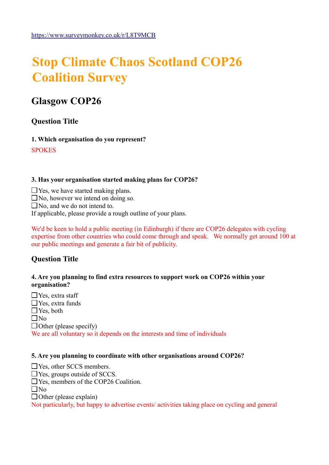# **Stop Climate Chaos Scotland COP26 Coalition Survey**

# **Glasgow COP26**

# **Question Title**

**1. Which organisation do you represent?** 

**SPOKES** 

#### **3. Has your organisation started making plans for COP26?**

 $\Box$  Yes, we have started making plans.

 $\Box$  No, however we intend on doing so.

 $\Box$  No, and we do not intend to.

If applicable, please provide a rough outline of your plans.

We'd be keen to hold a public meeting (in Edinburgh) if there are COP26 delegates with cycling expertise from other countries who could come through and speak. We normally get around 100 at our public meetings and generate a fair bit of publicity.

## **Question Title**

#### **4. Are you planning to find extra resources to support work on COP26 within your organisation?**

 Yes, extra staff Yes, extra funds ■Yes, both  $\Box$ No  $\Box$  Other (please specify) We are all voluntary so it depends on the interests and time of individuals

#### **5. Are you planning to coordinate with other organisations around COP26?**

□ Yes, other SCCS members.  $\Box$  Yes, groups outside of SCCS. □ Yes, members of the COP26 Coalition.  $\Box$ No  $\Box$  Other (please explain) Not particularly, but happy to advertise events/ activities taking place on cycling and general